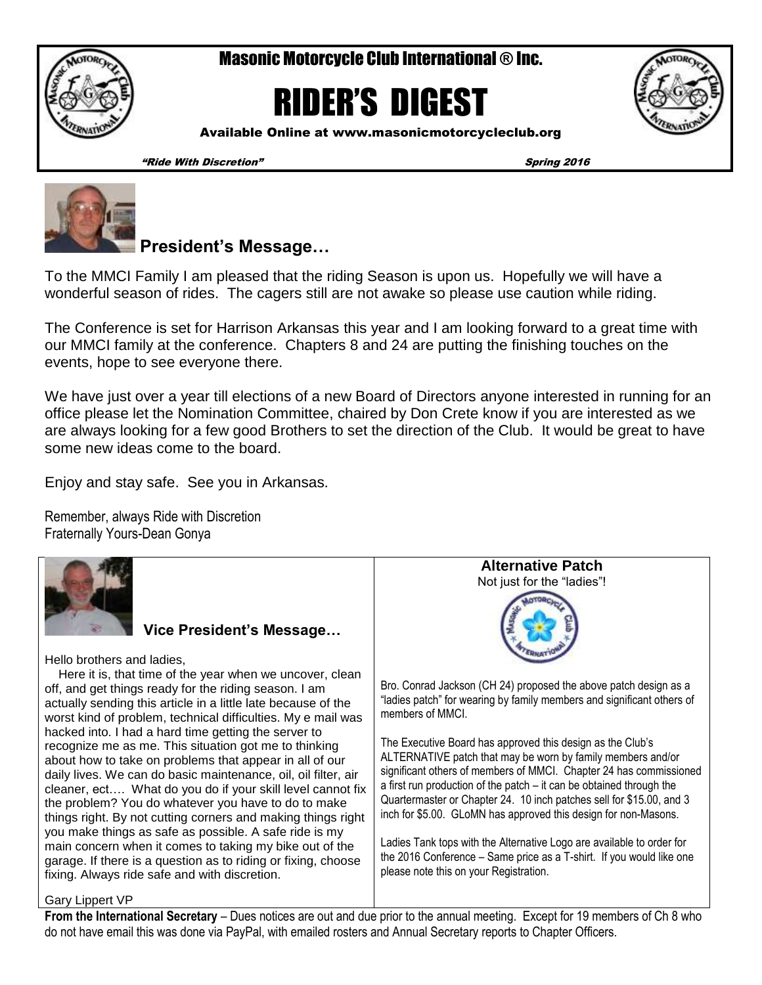Masonic Motorcycle Club International ® Inc.



RIDER'S DIGEST



Available Online at www.masonicmotorcycleclub.org

"Ride With Discretion" Spring 2016



**President's Message…** 

To the MMCI Family I am pleased that the riding Season is upon us. Hopefully we will have a wonderful season of rides. The cagers still are not awake so please use caution while riding.

The Conference is set for Harrison Arkansas this year and I am looking forward to a great time with our MMCI family at the conference. Chapters 8 and 24 are putting the finishing touches on the events, hope to see everyone there.

We have just over a year till elections of a new Board of Directors anyone interested in running for an office please let the Nomination Committee, chaired by Don Crete know if you are interested as we are always looking for a few good Brothers to set the direction of the Club. It would be great to have some new ideas come to the board.

Enjoy and stay safe. See you in Arkansas.

Remember, always Ride with Discretion Fraternally Yours-Dean Gonya



**Vice President's Message…**

Hello brothers and ladies,

 Here it is, that time of the year when we uncover, clean off, and get things ready for the riding season. I am actually sending this article in a little late because of the worst kind of problem, technical difficulties. My e mail was hacked into. I had a hard time getting the server to recognize me as me. This situation got me to thinking about how to take on problems that appear in all of our daily lives. We can do basic maintenance, oil, oil filter, air cleaner, ect…. What do you do if your skill level cannot fix the problem? You do whatever you have to do to make things right. By not cutting corners and making things right you make things as safe as possible. A safe ride is my main concern when it comes to taking my bike out of the garage. If there is a question as to riding or fixing, choose fixing. Always ride safe and with discretion.



ALTERNATIVE patch that may be worn by family members and/or significant others of members of MMCI. Chapter 24 has commissioned a first run production of the patch – it can be obtained through the Quartermaster or Chapter 24. 10 inch patches sell for \$15.00, and 3 inch for \$5.00. GLoMN has approved this design for non-Masons.

Ladies Tank tops with the Alternative Logo are available to order for the 2016 Conference – Same price as a T-shirt. If you would like one please note this on your Registration.

### Gary Lippert VP

**From the International Secretary** – Dues notices are out and due prior to the annual meeting. Except for 19 members of Ch 8 who do not have email this was done via PayPal, with emailed rosters and Annual Secretary reports to Chapter Officers.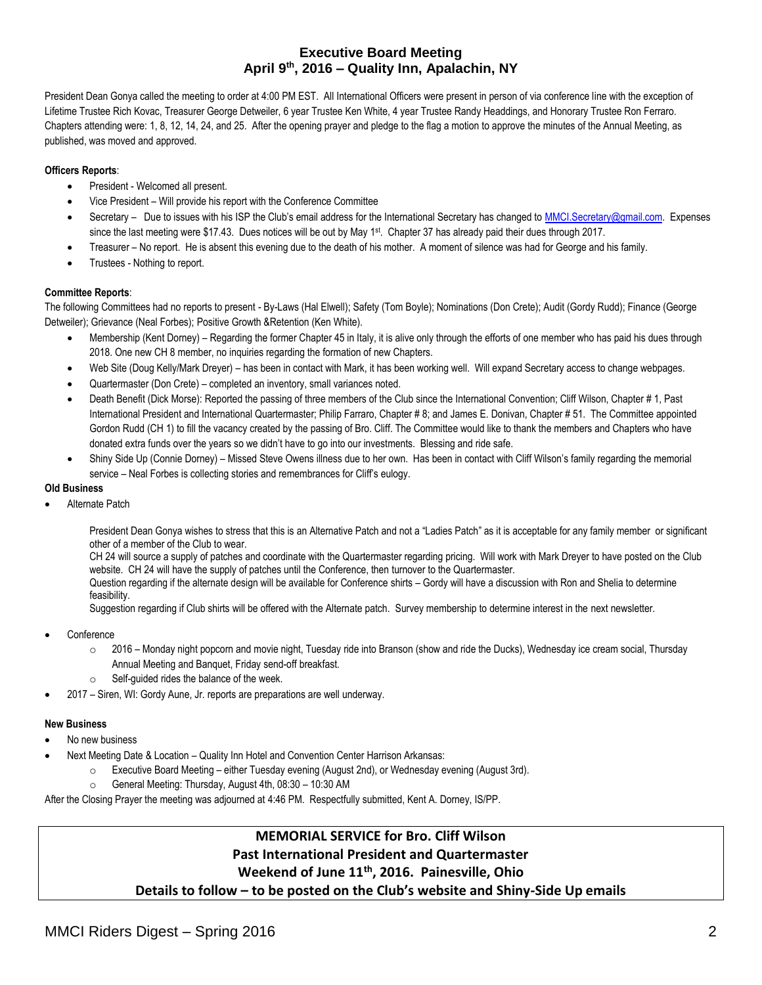### **Executive Board Meeting April 9th, 2016 – Quality Inn, Apalachin, NY**

President Dean Gonya called the meeting to order at 4:00 PM EST. All International Officers were present in person of via conference line with the exception of Lifetime Trustee Rich Kovac, Treasurer George Detweiler, 6 year Trustee Ken White, 4 year Trustee Randy Headdings, and Honorary Trustee Ron Ferraro. Chapters attending were: 1, 8, 12, 14, 24, and 25. After the opening prayer and pledge to the flag a motion to approve the minutes of the Annual Meeting, as published, was moved and approved.

### **Officers Reports**:

- President Welcomed all present.
- Vice President Will provide his report with the Conference Committee
- Secretary Due to issues with his ISP the Club's email address for the International Secretary has changed to [MMCI.Secretary@gmail.com.](mailto:MMCI.Secretary@gmail.com) Expenses since the last meeting were \$17.43. Dues notices will be out by May 1<sup>st</sup>. Chapter 37 has already paid their dues through 2017.
- Treasurer No report. He is absent this evening due to the death of his mother. A moment of silence was had for George and his family.
- Trustees Nothing to report.

### **Committee Reports**:

The following Committees had no reports to present - By-Laws (Hal Elwell); Safety (Tom Boyle); Nominations (Don Crete); Audit (Gordy Rudd); Finance (George Detweiler); Grievance (Neal Forbes); Positive Growth &Retention (Ken White).

- Membership (Kent Dorney) Regarding the former Chapter 45 in Italy, it is alive only through the efforts of one member who has paid his dues through 2018. One new CH 8 member, no inquiries regarding the formation of new Chapters.
- Web Site (Doug Kelly/Mark Dreyer) has been in contact with Mark, it has been working well. Will expand Secretary access to change webpages.
- Quartermaster (Don Crete) completed an inventory, small variances noted.
- Death Benefit (Dick Morse): Reported the passing of three members of the Club since the International Convention; Cliff Wilson, Chapter # 1, Past International President and International Quartermaster; Philip Farraro, Chapter # 8; and James E. Donivan, Chapter # 51. The Committee appointed Gordon Rudd (CH 1) to fill the vacancy created by the passing of Bro. Cliff. The Committee would like to thank the members and Chapters who have donated extra funds over the years so we didn't have to go into our investments. Blessing and ride safe.
- Shiny Side Up (Connie Dorney) Missed Steve Owens illness due to her own. Has been in contact with Cliff Wilson's family regarding the memorial service – Neal Forbes is collecting stories and remembrances for Cliff's eulogy.

#### **Old Business**

Alternate Patch

President Dean Gonya wishes to stress that this is an Alternative Patch and not a "Ladies Patch" as it is acceptable for any family member or significant other of a member of the Club to wear.

CH 24 will source a supply of patches and coordinate with the Quartermaster regarding pricing. Will work with Mark Dreyer to have posted on the Club website. CH 24 will have the supply of patches until the Conference, then turnover to the Quartermaster.

Question regarding if the alternate design will be available for Conference shirts – Gordy will have a discussion with Ron and Shelia to determine feasibility.

Suggestion regarding if Club shirts will be offered with the Alternate patch. Survey membership to determine interest in the next newsletter.

- **Conference** 
	- o 2016 Monday night popcorn and movie night, Tuesday ride into Branson (show and ride the Ducks), Wednesday ice cream social, Thursday Annual Meeting and Banquet, Friday send-off breakfast.
	- Self-guided rides the balance of the week.
- 2017 Siren, WI: Gordy Aune, Jr. reports are preparations are well underway.

### **New Business**

- No new business
	- Next Meeting Date & Location Quality Inn Hotel and Convention Center Harrison Arkansas:
		- Executive Board Meeting either Tuesday evening (August 2nd), or Wednesday evening (August 3rd).
		- General Meeting: Thursday, August 4th, 08:30 10:30 AM

After the Closing Prayer the meeting was adjourned at 4:46 PM. Respectfully submitted, Kent A. Dorney, IS/PP.

## **MEMORIAL SERVICE for Bro. Cliff Wilson Past International President and Quartermaster**

### **Weekend of June 11th, 2016. Painesville, Ohio**

**Details to follow – to be posted on the Club's website and Shiny-Side Up emails**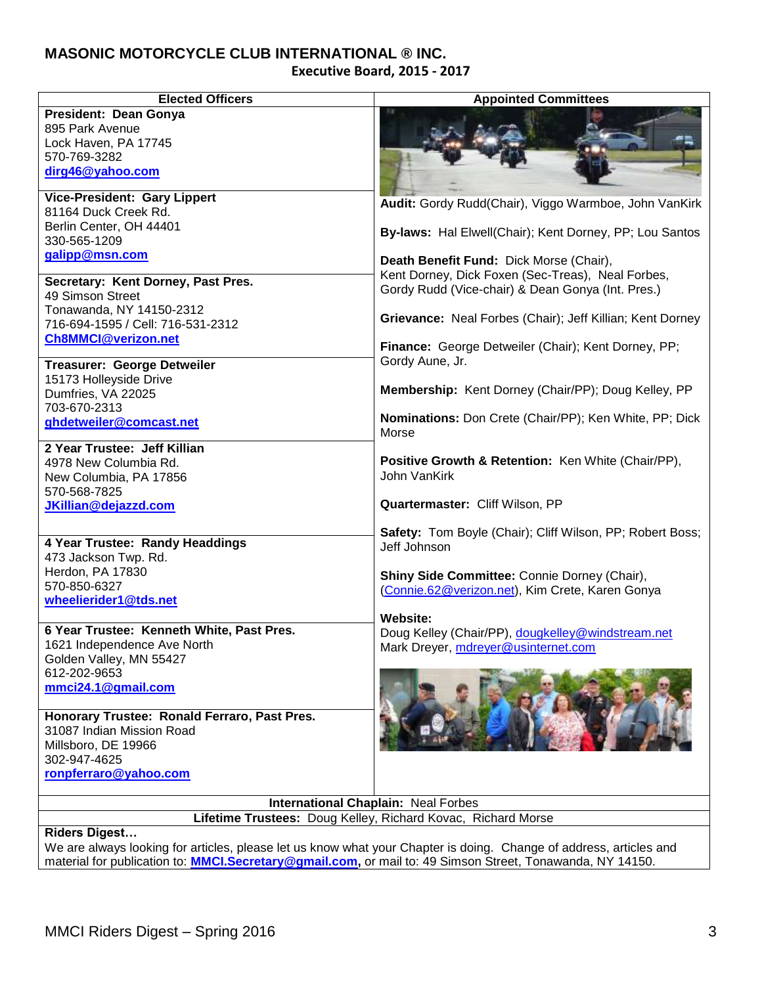# **MASONIC MOTORCYCLE CLUB INTERNATIONAL ® INC.**

**Executive Board, 2015 - 2017**

| <b>Elected Officers</b>                                                   | <b>Appointed Committees</b>                                                                     |  |  |  |  |  |
|---------------------------------------------------------------------------|-------------------------------------------------------------------------------------------------|--|--|--|--|--|
| President: Dean Gonya                                                     |                                                                                                 |  |  |  |  |  |
| 895 Park Avenue                                                           |                                                                                                 |  |  |  |  |  |
| Lock Haven, PA 17745                                                      |                                                                                                 |  |  |  |  |  |
| 570-769-3282                                                              |                                                                                                 |  |  |  |  |  |
| dirg46@yahoo.com                                                          |                                                                                                 |  |  |  |  |  |
| <b>Vice-President: Gary Lippert</b>                                       |                                                                                                 |  |  |  |  |  |
| 81164 Duck Creek Rd.                                                      | Audit: Gordy Rudd(Chair), Viggo Warmboe, John VanKirk                                           |  |  |  |  |  |
| Berlin Center, OH 44401                                                   |                                                                                                 |  |  |  |  |  |
| 330-565-1209                                                              | By-laws: Hal Elwell(Chair); Kent Dorney, PP; Lou Santos                                         |  |  |  |  |  |
| galipp@msn.com                                                            | Death Benefit Fund: Dick Morse (Chair),                                                         |  |  |  |  |  |
|                                                                           | Kent Dorney, Dick Foxen (Sec-Treas), Neal Forbes,                                               |  |  |  |  |  |
| Secretary: Kent Dorney, Past Pres.                                        | Gordy Rudd (Vice-chair) & Dean Gonya (Int. Pres.)                                               |  |  |  |  |  |
| 49 Simson Street                                                          |                                                                                                 |  |  |  |  |  |
| Tonawanda, NY 14150-2312<br>716-694-1595 / Cell: 716-531-2312             | Grievance: Neal Forbes (Chair); Jeff Killian; Kent Dorney                                       |  |  |  |  |  |
| <b>Ch8MMCI@verizon.net</b>                                                |                                                                                                 |  |  |  |  |  |
|                                                                           | Finance: George Detweiler (Chair); Kent Dorney, PP;                                             |  |  |  |  |  |
| <b>Treasurer: George Detweiler</b>                                        | Gordy Aune, Jr.                                                                                 |  |  |  |  |  |
| 15173 Holleyside Drive                                                    |                                                                                                 |  |  |  |  |  |
| Dumfries, VA 22025                                                        | Membership: Kent Dorney (Chair/PP); Doug Kelley, PP                                             |  |  |  |  |  |
| 703-670-2313                                                              |                                                                                                 |  |  |  |  |  |
| ghdetweiler@comcast.net                                                   | Nominations: Don Crete (Chair/PP); Ken White, PP; Dick<br>Morse                                 |  |  |  |  |  |
| 2 Year Trustee: Jeff Killian                                              |                                                                                                 |  |  |  |  |  |
| 4978 New Columbia Rd.                                                     | Positive Growth & Retention: Ken White (Chair/PP),                                              |  |  |  |  |  |
| New Columbia, PA 17856                                                    | John VanKirk                                                                                    |  |  |  |  |  |
| 570-568-7825                                                              |                                                                                                 |  |  |  |  |  |
| JKillian@dejazzd.com                                                      | Quartermaster: Cliff Wilson, PP                                                                 |  |  |  |  |  |
|                                                                           |                                                                                                 |  |  |  |  |  |
| 4 Year Trustee: Randy Headdings                                           | Safety: Tom Boyle (Chair); Cliff Wilson, PP; Robert Boss;                                       |  |  |  |  |  |
| 473 Jackson Twp. Rd.                                                      | Jeff Johnson                                                                                    |  |  |  |  |  |
| Herdon, PA 17830                                                          |                                                                                                 |  |  |  |  |  |
| 570-850-6327                                                              | Shiny Side Committee: Connie Dorney (Chair),<br>(Connie.62@verizon.net), Kim Crete, Karen Gonya |  |  |  |  |  |
| wheelierider1@tds.net                                                     |                                                                                                 |  |  |  |  |  |
|                                                                           | Website:                                                                                        |  |  |  |  |  |
| 6 Year Trustee: Kenneth White, Past Pres.                                 | Doug Kelley (Chair/PP), dougkelley@windstream.net                                               |  |  |  |  |  |
| 1621 Independence Ave North                                               | Mark Dreyer, mdreyer@usinternet.com                                                             |  |  |  |  |  |
| Golden Valley, MN 55427                                                   |                                                                                                 |  |  |  |  |  |
| 612-202-9653                                                              |                                                                                                 |  |  |  |  |  |
| mmci24.1@gmail.com                                                        |                                                                                                 |  |  |  |  |  |
|                                                                           |                                                                                                 |  |  |  |  |  |
| Honorary Trustee: Ronald Ferraro, Past Pres.<br>31087 Indian Mission Road |                                                                                                 |  |  |  |  |  |
| Millsboro, DE 19966                                                       |                                                                                                 |  |  |  |  |  |
| 302-947-4625                                                              |                                                                                                 |  |  |  |  |  |
| ronpferraro@yahoo.com                                                     |                                                                                                 |  |  |  |  |  |
|                                                                           |                                                                                                 |  |  |  |  |  |
| International Chaplain: Neal Forbes                                       |                                                                                                 |  |  |  |  |  |
| Lifetime Trustees: Doug Kelley, Richard Kovac, Richard Morse              |                                                                                                 |  |  |  |  |  |
| Didoro Digoot                                                             |                                                                                                 |  |  |  |  |  |

**Riders Digest…**

We are always looking for articles, please let us know what your Chapter is doing. Change of address, articles and material for publication to: **[MMCI.Secretary@gmail.com,](mailto:MMCI.Secretary@gmail.com)** or mail to: 49 Simson Street, Tonawanda, NY 14150.